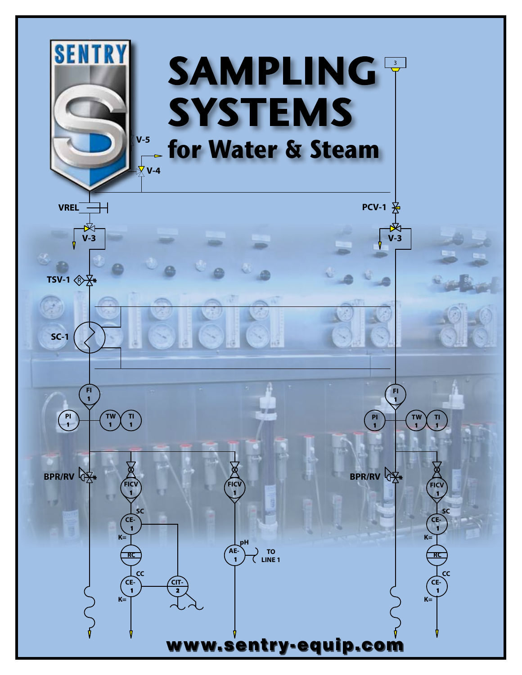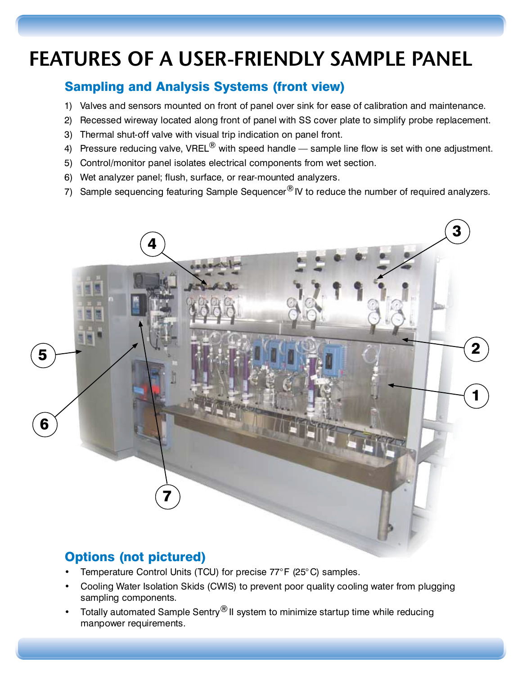# FEATURES OF A USER-FRIENDLY SAMPLE PANEL

### Sampling and Analysis Systems (front view)

- 1) Valves and sensors mounted on front of panel over sink for ease of calibration and maintenance.
- 2) Recessed wireway located along front of panel with SS cover plate to simplify probe replacement.
- 3) Thermal shut-off valve with visual trip indication on panel front.
- 4) Pressure reducing valve, VREL $^{\circledR}$  with speed handle sample line flow is set with one adjustment.
- 5) Control/monitor panel isolates electrical components from wet section.<br>6) Wet analyzer panel; flush, surface, or rear-mounted analyzers.
- 6) Wet analyzer panel; flush, surface, or rear-mounted analyzers.
- 7) Sample sequencing featuring Sample Sequencer®IV to reduce the number of required analyzers.



## Options (not pictured)

- Temperature Control Units (TCU) for precise 77°F (25°C) samples.
- Cooling Water Isolation Skids (CWIS) to prevent poor quality cooling water from plugging sampling components. sampling components.
- Iotally automated Sample Sentry<sup>®</sup> II system to minimize startup time while reducing manpower requirements.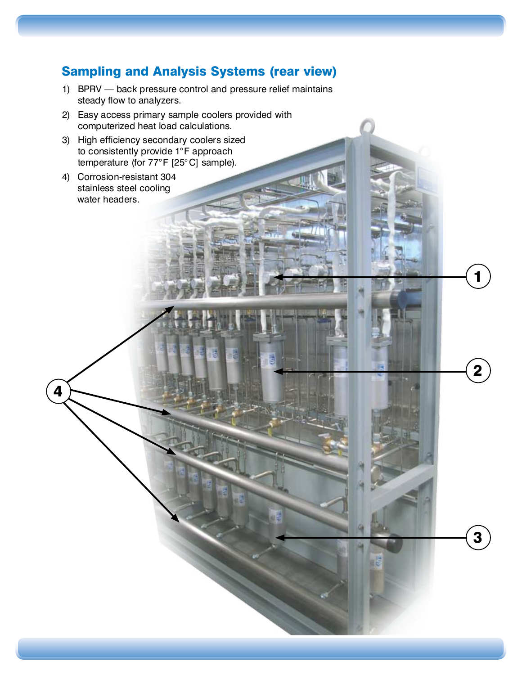### Sampling and Analysis Systems (rear view)

1) BPRV — back pressure control and pressure relief maintains steady flow to analyzers.

3

2

1

- 2) Easy access primary sample coolers provided with computerized heat load calculations.<br>3) High efficiency secondary coolers sized
- to consistently provide 1°F approach to consistently provide 1°F approach temperature (for  $17/5$   $\geq$   $\cup$  3 sample).
- 4) Corrosion-resistant 304 stainless steel cooling water headers.

4